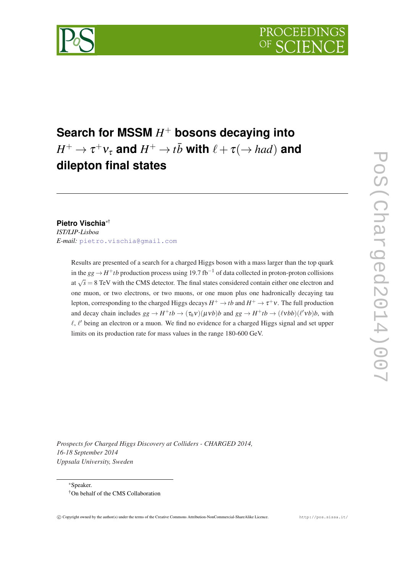

# **Search for MSSM** *H* <sup>+</sup> **bosons decaying into**  $H^+ \to \tau^+ \nu_\tau$  and  $H^+ \to t \bar b$  with  $\ell + \tau (\to had)$  and **dilepton final states**

# **Pietro Vischia**∗†

*IST/LIP-Lisboa E-mail:* [pietro.vischia@gmail.com](mailto:pietro.vischia@gmail.com)

> Results are presented of a search for a charged Higgs boson with a mass larger than the top quark in the *gg* → *H* <sup>+</sup>*tb* production process using 19.7 fb−<sup>1</sup> of data collected in proton-proton collisions at  $\sqrt{s} = 8$  TeV with the CMS detector. The final states considered contain either one electron and one muon, or two electrons, or two muons, or one muon plus one hadronically decaying tau lepton, corresponding to the charged Higgs decays  $H^+ \to t \bar b$  and  $H^+ \to \tau^+ \nu$  . The full production and decay chain includes  $gg \to H^+tb \to (\tau_h v)(\mu v b)b$  and  $gg \to H^+tb \to (\ell vbb)(\ell' v b)b$ , with  $\ell$ ,  $\ell'$  being an electron or a muon. We find no evidence for a charged Higgs signal and set upper limits on its production rate for mass values in the range 180-600 GeV.

*Prospects for Charged Higgs Discovery at Colliders - CHARGED 2014, 16-18 September 2014 Uppsala University, Sweden*

<sup>∗</sup>Speaker.

<sup>†</sup>On behalf of the CMS Collaboration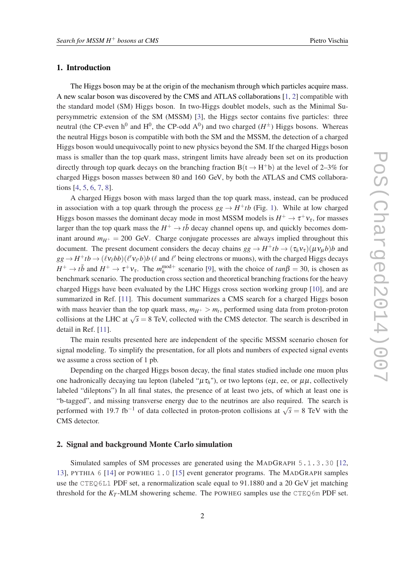# 1. Introduction

The Higgs boson may be at the origin of the mechanism through which particles acquire mass. A new scalar boson was discovered by the CMS and ATLAS collaborations [[1](#page-10-0), [2](#page-10-0)] compatible with the standard model (SM) Higgs boson. In two-Higgs doublet models, such as the Minimal Supersymmetric extension of the SM (MSSM) [[3](#page-10-0)], the Higgs sector contains five particles: three neutral (the CP-even  $h^0$  and  $H^0$ , the CP-odd  $A^0$ ) and two charged ( $H^{\pm}$ ) Higgs bosons. Whereas the neutral Higgs boson is compatible with both the SM and the MSSM, the detection of a charged Higgs boson would unequivocally point to new physics beyond the SM. If the charged Higgs boson mass is smaller than the top quark mass, stringent limits have already been set on its production directly through top quark decays on the branching fraction  $B(t \rightarrow H<sup>+</sup>b)$  at the level of 2–3% for charged Higgs boson masses between 80 and 160 GeV, by both the ATLAS and CMS collaborations [[4](#page-10-0), [5](#page-10-0), [6](#page-10-0), [7](#page-10-0), [8](#page-10-0)].

A charged Higgs boson with mass larged than the top quark mass, instead, can be produced in association with a top quark through the process  $gg \to H^+tb$  (Fig. [1\)](#page-2-0). While at low charged Higgs boson masses the dominant decay mode in most MSSM models is  $H^+ \to \tau^+ \nu_{\tau}$ , for masses larger than the top quark mass the  $H^+ \to t\bar{b}$  decay channel opens up, and quickly becomes dominant around  $m_{H^+} = 200$  GeV. Charge conjugate processes are always implied throughout this document. The present document considers the decay chains  $gg \to H^+ t b \to (\tau_h v_\tau) (\mu v_\mu b) b$  and  $gg \to H^+tb \to (\ell v_\ell bb)(\ell'v_{\ell'}b)b$  ( $\ell$  and  $\ell'$  being electrons or muons), with the charged Higgs decays  $H^+ \to t\bar{b}$  and  $H^+ \to \tau^+ \nu_{\tau}$ . The  $m_h^{\text{mod}+}$  scenario [[9](#page-11-0)], with the choice of  $tan\beta = 30$ , is chosen as benchmark scenario. The production cross section and theoretical branching fractions for the heavy charged Higgs have been evaluated by the LHC Higgs cross section working group [[10\]](#page-11-0), and are summarized in Ref. [\[11](#page-11-0)]. This document summarizes a CMS search for a charged Higgs boson with mass heavier than the top quark mass,  $m_{H^+} > m_t$ , performed using data from proton-proton collisions at the LHC at  $\sqrt{s} = 8$  TeV, collected with the CMS detector. The search is described in detail in Ref. [\[11](#page-11-0)].

The main results presented here are independent of the specific MSSM scenario chosen for signal modeling. To simplify the presentation, for all plots and numbers of expected signal events we assume a cross section of 1 pb.

Depending on the charged Higgs boson decay, the final states studied include one muon plus one hadronically decaying tau lepton (labeled " $\mu \tau_h$ "), or two leptons (e $\mu$ , ee, or  $\mu\mu$ , collectively labeled "dileptons") In all final states, the presence of at least two jets, of which at least one is "b-tagged", and missing transverse energy due to the neutrinos are also required. The search is performed with 19.7 fb<sup>-1</sup> of data collected in proton-proton collisions at  $\sqrt{s} = 8$  TeV with the CMS detector.

# 2. Signal and background Monte Carlo simulation

Simulated samples of SM processes are generated using the MADGRAPH 5.1.3.30 [\[12](#page-11-0), [13](#page-11-0)], PYTHIA 6 [\[14](#page-11-0)] or POWHEG 1.0 [[15\]](#page-11-0) event generator programs. The MADGRAPH samples use the CTEQ6L1 PDF set, a renormalization scale equal to 91.1880 and a 20 GeV jet matching threshold for the  $K_T$ -MLM showering scheme. The POWHEG samples use the CTEQ6m PDF set.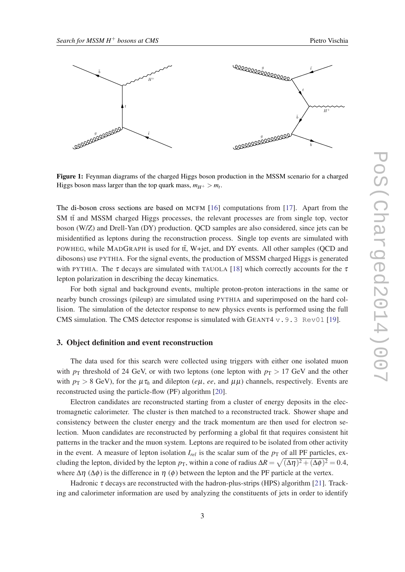<span id="page-2-0"></span>

Figure 1: Feynman diagrams of the charged Higgs boson production in the MSSM scenario for a charged Higgs boson mass larger than the top quark mass,  $m_{H^+} > m_t$ .

The di-boson cross sections are based on MCFM [[16](#page-11-0)] computations from [[17\]](#page-11-0). Apart from the  $SM$  tt and MSSM charged Higgs processes, the relevant processes are from single top, vector boson (W/Z) and Drell-Yan (DY) production. QCD samples are also considered, since jets can be misidentified as leptons during the reconstruction process. Single top events are simulated with POWHEG, while MADGRAPH is used for tt, W+jet, and DY events. All other samples (QCD and dibosons) use PYTHIA. For the signal events, the production of MSSM charged Higgs is generated with PYTHIA. The  $\tau$  decays are simulated with TAUOLA [[18\]](#page-11-0) which correctly accounts for the  $\tau$ lepton polarization in describing the decay kinematics.

For both signal and background events, multiple proton-proton interactions in the same or nearby bunch crossings (pileup) are simulated using PYTHIA and superimposed on the hard collision. The simulation of the detector response to new physics events is performed using the full CMS simulation. The CMS detector response is simulated with GEANT4  $v.9.3$  Rev01 [[19\]](#page-11-0).

# 3. Object definition and event reconstruction

The data used for this search were collected using triggers with either one isolated muon with  $p<sub>T</sub>$  threshold of 24 GeV, or with two leptons (one lepton with  $p<sub>T</sub> > 17$  GeV and the other with  $p_T > 8$  GeV), for the  $\mu \tau_h$  and dilepton (*e* $\mu$ , *ee*, and  $\mu \mu$ ) channels, respectively. Events are reconstructed using the particle-flow (PF) algorithm [\[20](#page-11-0)].

Electron candidates are reconstructed starting from a cluster of energy deposits in the electromagnetic calorimeter. The cluster is then matched to a reconstructed track. Shower shape and consistency between the cluster energy and the track momentum are then used for electron selection. Muon candidates are reconstructed by performing a global fit that requires consistent hit patterns in the tracker and the muon system. Leptons are required to be isolated from other activity in the event. A measure of lepton isolation  $I_{rel}$  is the scalar sum of the  $p<sub>T</sub>$  of all PF particles, excluding the lepton, divided by the lepton  $p_T$ , within a cone of radius  $\Delta R = \sqrt{(\Delta \eta)^2 + (\Delta \phi)^2} = 0.4$ , where  $\Delta \eta$  ( $\Delta \phi$ ) is the difference in  $\eta$  ( $\phi$ ) between the lepton and the PF particle at the vertex.

Hadronic  $\tau$  decays are reconstructed with the hadron-plus-strips (HPS) algorithm [[21\]](#page-11-0). Tracking and calorimeter information are used by analyzing the constituents of jets in order to identify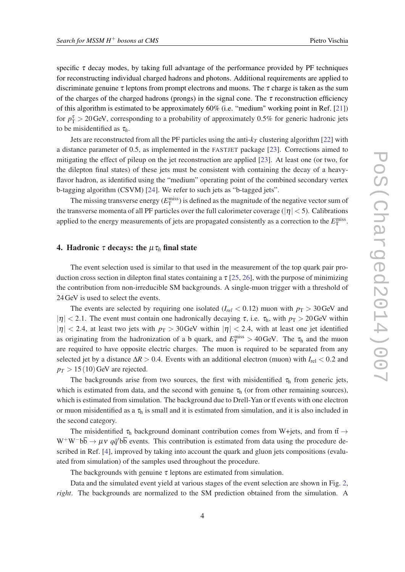<span id="page-3-0"></span>specific  $\tau$  decay modes, by taking full advantage of the performance provided by PF techniques for reconstructing individual charged hadrons and photons. Additional requirements are applied to discriminate genuine  $\tau$  leptons from prompt electrons and muons. The  $\tau$  charge is taken as the sum of the charges of the charged hadrons (prongs) in the signal cone. The  $\tau$  reconstruction efficiency of this algorithm is estimated to be approximately 60% (i.e. "medium" working point in Ref. [[21\]](#page-11-0)) for  $p_T^{\tau} > 20$  GeV, corresponding to a probability of approximately 0.5% for generic hadronic jets to be misidentified as  $\tau_h$ .

Jets are reconstructed from all the PF particles using the anti- $k_T$  clustering algorithm [[22](#page-11-0)] with a distance parameter of 0.5, as implemented in the FASTJET package [\[23](#page-11-0)]. Corrections aimed to mitigating the effect of pileup on the jet reconstruction are applied [\[23](#page-11-0)]. At least one (or two, for the dilepton final states) of these jets must be consistent with containing the decay of a heavyflavor hadron, as identified using the "medium" operating point of the combined secondary vertex b-tagging algorithm (CSVM) [[24](#page-11-0)]. We refer to such jets as "b-tagged jets".

The missing transverse energy  $(E_{\text{T}}^{\text{miss}})$  is defined as the magnitude of the negative vector sum of the transverse momenta of all PF particles over the full calorimeter coverage ( $|\eta|$  < 5). Calibrations applied to the energy measurements of jets are propagated consistently as a correction to the  $E_{\text{T}}^{\text{miss}}$ .

## 4. Hadronic  $\tau$  decays: the  $\mu \tau_h$  final state

The event selection used is similar to that used in the measurement of the top quark pair production cross section in dilepton final states containing a  $\tau$  [\[25](#page-11-0), [26](#page-11-0)], with the purpose of minimizing the contribution from non-irreducible SM backgrounds. A single-muon trigger with a threshold of 24GeV is used to select the events.

The events are selected by requiring one isolated ( $I_{rel} < 0.12$ ) muon with  $p_T > 30$  GeV and | $|\eta|$  < 2.1. The event must contain one hadronically decaying  $\tau$ , i.e.  $\tau_h$ , with  $p_T > 20$  GeV within  $|\eta|$  < 2.4, at least two jets with  $p_T > 30$  GeV within  $|\eta|$  < 2.4, with at least one jet identified as originating from the hadronization of a b quark, and  $E_T^{\text{miss}} > 40 \text{ GeV}$ . The  $\tau_h$  and the muon are required to have opposite electric charges. The muon is required to be separated from any selected jet by a distance ∆*R* > 0.4. Events with an additional electron (muon) with *I*rel < 0.2 and  $p_T > 15(10)$  GeV are rejected.

The backgrounds arise from two sources, the first with misidentified  $\tau_h$  from generic jets, which is estimated from data, and the second with genuine  $\tau<sub>h</sub>$  (or from other remaining sources), which is estimated from simulation. The background due to Drell-Yan or tt events with one electron or muon misidentified as a  $\tau_h$  is small and it is estimated from simulation, and it is also included in the second category.

The misidentified  $\tau_h$  background dominant contribution comes from W+jets, and from  $t\bar{t} \rightarrow$  $W^+W^-b\overline{b} \rightarrow \mu\nu q\overline{q}'b\overline{b}$  events. This contribution is estimated from data using the procedure described in Ref. [[4](#page-10-0)], improved by taking into account the quark and gluon jets compositions (evaluated from simulation) of the samples used throughout the procedure.

The backgrounds with genuine  $\tau$  leptons are estimated from simulation.

Data and the simulated event yield at various stages of the event selection are shown in Fig. [2](#page-4-0), *right*. The backgrounds are normalized to the SM prediction obtained from the simulation. A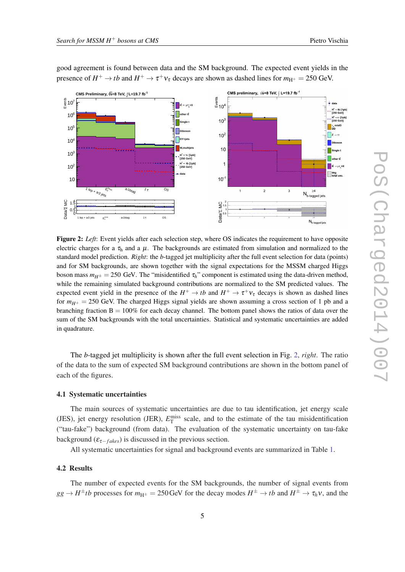

<span id="page-4-0"></span>good agreement is found between data and the SM background. The expected event yields in the presence of  $H^+ \to t\bar{b}$  and  $H^+ \to \tau^+ \nu_{\tau}$  decays are shown as dashed lines for  $m_{\rm H^+} = 250$  GeV.

Figure 2: *Left*: Event yields after each selection step, where OS indicates the requirement to have opposite electric charges for a  $\tau_h$  and a  $\mu$ . The backgrounds are estimated from simulation and normalized to the standard model prediction. *Right*: the *b*-tagged jet multiplicity after the full event selection for data (points) and for SM backgrounds, are shown together with the signal expectations for the MSSM charged Higgs boson mass  $m_{H^{\pm}} = 250$  GeV. The "misidentified  $\tau_h$ " component is estimated using the data-driven method, while the remaining simulated background contributions are normalized to the SM predicted values. The expected event yield in the presence of the  $H^+ \to t\bar{b}$  and  $H^+ \to \tau^+ \nu_{\tau}$  decays is shown as dashed lines for  $m_{H^+} = 250$  GeV. The charged Higgs signal yields are shown assuming a cross section of 1 pb and a branching fraction  $B = 100\%$  for each decay channel. The bottom panel shows the ratios of data over the sum of the SM backgrounds with the total uncertainties. Statistical and systematic uncertainties are added in quadrature.

The *b*-tagged jet multiplicity is shown after the full event selection in Fig. 2, *right*. The ratio of the data to the sum of expected SM background contributions are shown in the bottom panel of each of the figures.

#### 4.1 Systematic uncertainties

The main sources of systematic uncertainties are due to tau identification, jet energy scale (JES), jet energy resolution (JER),  $E_T^{\text{miss}}$  scale, and to the estimate of the tau misidentification ("tau-fake") background (from data). The evaluation of the systematic uncertainty on tau-fake background ( $\varepsilon_{\tau-fakes}$ ) is discussed in the previous section.

All systematic uncertainties for signal and background events are summarized in Table [1](#page-5-0).

#### 4.2 Results

The number of expected events for the SM backgrounds, the number of signal events from  $gg \to H^{\pm}tb$  processes for  $m_{H^{\pm}} = 250$  GeV for the decay modes  $H^{\pm} \to tb$  and  $H^{\pm} \to \tau_h \nu$ , and the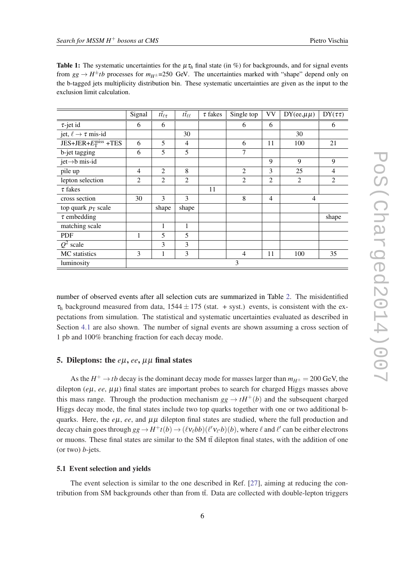|                                     | Signal         | $t\bar{t}_{\ell\tau}$ | $t\bar{t}_{\ell\ell}$ | $\tau$ fakes | Single top     | <b>VV</b>      | $DY(ee, \mu\mu)$ | $DY(\tau\tau)$ |
|-------------------------------------|----------------|-----------------------|-----------------------|--------------|----------------|----------------|------------------|----------------|
| $\tau$ -jet id                      | 6              | 6                     |                       |              | 6              | 6              |                  | 6              |
| jet, $\ell \rightarrow \tau$ mis-id |                |                       | 30                    |              |                |                | 30               |                |
| $JES+JER+E_T^{\text{miss}}+TES$     | 6              | 5                     | $\overline{4}$        |              | 6              | 11             | 100              | 21             |
| b-jet tagging                       | 6              | 5                     | 5                     |              | 7              |                |                  |                |
| jet->b mis-id                       |                |                       |                       |              |                | 9              | 9                | 9              |
| pile up                             | $\overline{4}$ | 2                     | 8                     |              | $\overline{2}$ | 3              | 25               | 4              |
| lepton selection                    | $\overline{2}$ | $\overline{2}$        | $\overline{2}$        |              | $\overline{2}$ | 2              | 2                | $\overline{2}$ |
| $\tau$ fakes                        |                |                       |                       | 11           |                |                |                  |                |
| cross section                       | 30             | 3                     | 3                     |              | 8              | $\overline{4}$ | $\overline{4}$   |                |
| top quark $p_T$ scale               |                | shape                 | shape                 |              |                |                |                  |                |
| $\tau$ embedding                    |                |                       |                       |              |                |                |                  | shape          |
| matching scale                      |                | 1                     | 1                     |              |                |                |                  |                |
| <b>PDF</b>                          | 1              | 5                     | 5                     |              |                |                |                  |                |
| $Q^2$ scale                         |                | 3                     | 3                     |              |                |                |                  |                |
| MC statistics                       | 3              | 1                     | 3                     |              | $\overline{4}$ | 11             | 100              | 35             |
| luminosity                          |                |                       |                       |              | 3              |                |                  |                |

<span id="page-5-0"></span>**Table 1:** The systematic uncertainties for the  $\mu \tau_h$  final state (in %) for backgrounds, and for signal events from  $gg \to H^{\pm}tb$  processes for  $m_{H^{\pm}}$ =250 GeV. The uncertainties marked with "shape" depend only on the b-tagged jets multiplicity distribution bin. These systematic uncertainties are given as the input to the exclusion limit calculation.

number of observed events after all selection cuts are summarized in Table [2](#page-6-0). The misidentified  $\tau_h$  background measured from data, 1544  $\pm$  175 (stat. + syst.) events, is consistent with the expectations from simulation. The statistical and systematic uncertainties evaluated as described in Section [4.1](#page-4-0) are also shown. The number of signal events are shown assuming a cross section of 1 pb and 100% branching fraction for each decay mode.

# 5. Dileptons: the *e*µ, *ee*, µµ final states

As the  $H^+ \to t\bar{b}$  decay is the dominant decay mode for masses larger than  $m_{H^{\pm}} = 200 \text{ GeV}$ , the dilepton ( $e\mu$ ,  $ee$ ,  $\mu\mu$ ) final states are important probes to search for charged Higgs masses above this mass range. Through the production mechanism  $gg \to tH^+(b)$  and the subsequent charged Higgs decay mode, the final states include two top quarks together with one or two additional bquarks. Here, the  $e\mu$ ,  $ee$ , and  $\mu\mu$  dilepton final states are studied, where the full production and decay chain goes through  $gg \to H^+ t(b) \to (\ell v_\ell bb)(\ell' v_{\ell'} b)(b)$ , where  $\ell$  and  $\ell'$  can be either electrons or muons. These final states are similar to the SM tt dilepton final states, with the addition of one (or two) *b*-jets.

#### 5.1 Event selection and yields

The event selection is similar to the one described in Ref. [\[27](#page-11-0)], aiming at reducing the contribution from SM backgrounds other than from tt. Data are collected with double-lepton triggers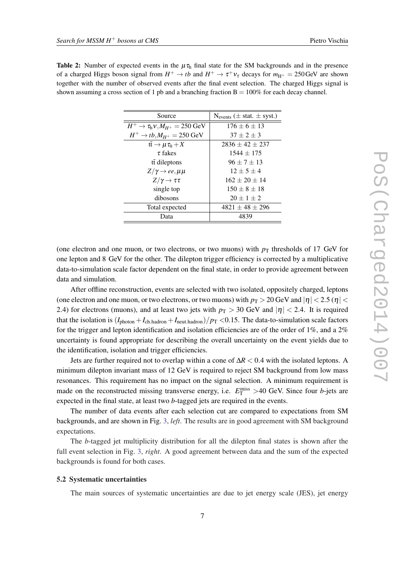<span id="page-6-0"></span>

| <b>Table 2:</b> Number of expected events in the $\mu \tau_{h}$ final state for the SM backgrounds and in the presence                     |
|--------------------------------------------------------------------------------------------------------------------------------------------|
| of a charged Higgs boson signal from $H^+ \to tb$ and $H^+ \to \tau^+ \nu_{\tau}$ decays for $m_{\text{H}^+} = 250 \,\text{GeV}$ are shown |
| together with the number of observed events after the final event selection. The charged Higgs signal is                                   |
| shown assuming a cross section of 1 pb and a branching fraction $B = 100\%$ for each decay channel.                                        |

| Source                                             | $N_{events}$ ( $\pm$ stat. $\pm$ syst.) |
|----------------------------------------------------|-----------------------------------------|
| $H^+ \to \tau_{h} v$ , $M_{H^+} = 250 \text{ GeV}$ | $176 \pm 6 \pm 13$                      |
| $H^+ \rightarrow tb, M_{H^+} = 250 \text{ GeV}$    | $37 + 2 + 3$                            |
| $t\bar{t} \to \mu \tau_h + X$                      | $2836 + 42 + 237$                       |
| $\tau$ fakes                                       | $1544 \pm 175$                          |
| tt dileptons                                       | $96 \pm 7 \pm 13$                       |
| $Z/\gamma \rightarrow ee, \mu\mu$                  | $12 \pm 5 \pm 4$                        |
| $Z/\gamma \rightarrow \tau \tau$                   | $162 + 20 + 14$                         |
| single top                                         | $150 \pm 8 \pm 18$                      |
| dibosons                                           | $20 \pm 1 \pm 2$                        |
| Total expected                                     | $4821 \pm 48 \pm 296$                   |
| Data                                               | 4839                                    |

(one electron and one muon, or two electrons, or two muons) with  $p<sub>T</sub>$  thresholds of 17 GeV for one lepton and 8 GeV for the other. The dilepton trigger efficiency is corrected by a multiplicative data-to-simulation scale factor dependent on the final state, in order to provide agreement between data and simulation.

After offline reconstruction, events are selected with two isolated, oppositely charged, leptons (one electron and one muon, or two electrons, or two muons) with  $p_T > 20$  GeV and  $|\eta| < 2.5$  ( $\eta$ ) 2.4) for electrons (muons), and at least two jets with  $p_T > 30$  GeV and  $|\eta| < 2.4$ . It is required that the isolation is  $(I_{\text{photon}} + I_{\text{ch.hadron}} + I_{\text{neut.hadron}})/p_{\text{T}} < 0.15$ . The data-to-simulation scale factors for the trigger and lepton identification and isolation efficiencies are of the order of 1%, and a 2% uncertainty is found appropriate for describing the overall uncertainty on the event yields due to the identification, isolation and trigger efficiencies.

Jets are further required not to overlap within a cone of ∆*R* < 0.4 with the isolated leptons. A minimum dilepton invariant mass of 12 GeV is required to reject SM background from low mass resonances. This requirement has no impact on the signal selection. A minimum requirement is made on the reconstructed missing transverse energy, i.e.  $E_{\rm T}^{\rm miss} > 40$  GeV. Since four *b*-jets are expected in the final state, at least two *b*-tagged jets are required in the events.

The number of data events after each selection cut are compared to expectations from SM backgrounds, and are shown in Fig. [3](#page-7-0), *left*. The results are in good agreement with SM background expectations.

The *b*-tagged jet multiplicity distribution for all the dilepton final states is shown after the full event selection in Fig. [3,](#page-7-0) *right*. A good agreement between data and the sum of the expected backgrounds is found for both cases.

# 5.2 Systematic uncertainties

The main sources of systematic uncertainties are due to jet energy scale (JES), jet energy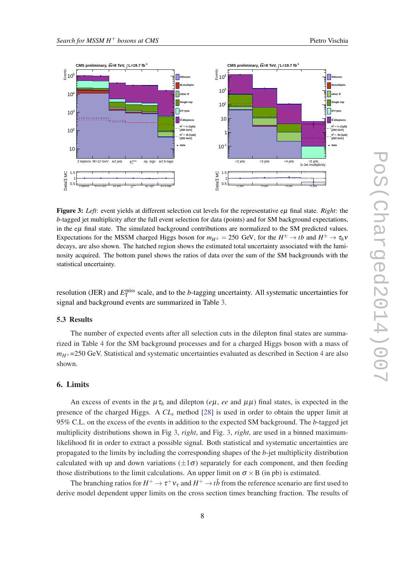

<span id="page-7-0"></span>

Figure 3: *Left*: event yields at different selection cut levels for the representative eµ final state. *Right*: the *b*-tagged jet multiplicity after the full event selection for data (points) and for SM background expectations, in the  $e\mu$  final state. The simulated background contributions are normalized to the SM predicted values. Expectations for the MSSM charged Higgs boson for  $m_{H^{\pm}} = 250$  GeV, for the  $H^{\pm} \to tb$  and  $H^{\pm} \to \tau_h v$ decays, are also shown. The hatched region shows the estimated total uncertainty associated with the luminosity acquired. The bottom panel shows the ratios of data over the sum of the SM backgrounds with the statistical uncertainty.

resolution (JER) and  $E_T^{\text{miss}}$  scale, and to the *b*-tagging uncertainty. All systematic uncertainties for signal and background events are summarized in Table [3](#page-8-0).

# 5.3 Results

The number of expected events after all selection cuts in the dilepton final states are summarized in Table [4](#page-8-0) for the SM background processes and for a charged Higgs boson with a mass of  $m_{H^{\pm}}$ =250 GeV. Statistical and systematic uncertainties evaluated as described in Section [4](#page-3-0) are also shown.

# 6. Limits

An excess of events in the  $\mu \tau_h$  and dilepton (*e* $\mu$ , *ee* and  $\mu \mu$ ) final states, is expected in the presence of the charged Higgs. A *CL<sup>s</sup>* method [[28\]](#page-11-0) is used in order to obtain the upper limit at 95% C.L. on the excess of the events in addition to the expected SM background. The *b*-tagged jet multiplicity distributions shown in Fig 3, *right*, and Fig. 3, *right*, are used in a binned maximumlikelihood fit in order to extract a possible signal. Both statistical and systematic uncertainties are propagated to the limits by including the corresponding shapes of the *b*-jet multiplicity distribution calculated with up and down variations  $(\pm 1\sigma)$  separately for each component, and then feeding those distributions to the limit calculations. An upper limit on  $\sigma \times B$  (in pb) is estimated.

The branching ratios for  $H^+ \to \tau^+ \nu_\tau$  and  $H^+ \to t\bar{b}$  from the reference scenario are first used to derive model dependent upper limits on the cross section times branching fraction. The results of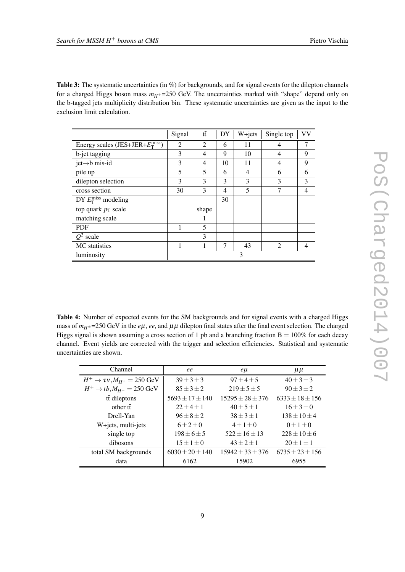<span id="page-8-0"></span>Table 3: The systematic uncertainties (in %) for backgrounds, and for signal events for the dilepton channels for a charged Higgs boson mass  $m<sub>H<sup>±</sup></sub>$  =250 GeV. The uncertainties marked with "shape" depend only on the b-tagged jets multiplicity distribution bin. These systematic uncertainties are given as the input to the exclusion limit calculation.

|                                               | Signal         | $t\bar{t}$     | DY | W+jets         | Single top     | <b>VV</b> |
|-----------------------------------------------|----------------|----------------|----|----------------|----------------|-----------|
| Energy scales (JES+JER+ $E_T^{\text{miss}}$ ) | $\overline{2}$ | $\overline{2}$ | 6  | 11             | 4              | 7         |
| b-jet tagging                                 | 3              | 4              | 9  | 10             | 4              | 9         |
| jet $\rightarrow$ b mis-id                    | 3              | 4              | 10 | 11             | 4              | 9         |
| pile up                                       | 5              | 5              | 6  | $\overline{4}$ | 6              | 6         |
| dilepton selection                            | 3              | 3              | 3  | 3              | 3              | 3         |
| cross section                                 | 30             | 3              | 4  | 5              | 7              | 4         |
| DY $E_{\rm T}^{\rm miss}$ modeling            |                |                | 30 |                |                |           |
| top quark $p_T$ scale                         |                | shape          |    |                |                |           |
| matching scale                                |                |                |    |                |                |           |
| <b>PDF</b>                                    |                | 5              |    |                |                |           |
| $Q^2$ scale                                   |                | 3              |    |                |                |           |
| MC statistics                                 |                | 1              | 7  | 43             | $\mathfrak{D}$ | 4         |
| luminosity                                    | 3              |                |    |                |                |           |

Table 4: Number of expected events for the SM backgrounds and for signal events with a charged Higgs mass of  $m_{H^{\pm}}$ =250 GeV in the *e* $\mu$ , *ee*, and  $\mu\mu$  dilepton final states after the final event selection. The charged Higgs signal is shown assuming a cross section of 1 pb and a branching fraction  $B = 100\%$  for each decay channel. Event yields are corrected with the trigger and selection efficiencies. Statistical and systematic uncertainties are shown.

| Channel                                         | ee                    | $e\mu$                 | $\mu\mu$              |  |
|-------------------------------------------------|-----------------------|------------------------|-----------------------|--|
| $H^+ \to \tau v, M_{H^+} = 250 \text{ GeV}$     | $39 \pm 3 \pm 3$      | $97 + 4 + 5$           | $40 \pm 3 \pm 3$      |  |
| $H^+ \rightarrow tb, M_{H^+} = 250 \text{ GeV}$ | $85 \pm 3 \pm 2$      | $219 \pm 5 \pm 5$      | $90\pm3\pm2$          |  |
| tt dileptons                                    | $5693 + 17 + 140$     | $15295 + 28 + 376$     | $6333 + 18 + 156$     |  |
| other $t\bar{t}$                                | $22 + 4 + 1$          | $40 \pm 5 \pm 1$       | $16 + 3 + 0$          |  |
| Drell-Yan                                       | $96 \pm 8 \pm 2$      | $38 \pm 3 \pm 1$       |                       |  |
| W+jets, multi-jets                              | $6\pm2\pm0$           | $4 \pm 1 \pm 0$        | $0 \pm 1 \pm 0$       |  |
| single top                                      | $198 + 6 + 5$         | $522 \pm 16 \pm 13$    | $228 + 10 + 6$        |  |
| dibosons                                        | $15 \pm 1 \pm 0$      | $43 + 2 + 1$           | $20 \pm 1 \pm 1$      |  |
| total SM backgrounds                            | $6030 \pm 20 \pm 140$ | $15942 \pm 33 \pm 376$ | $6735 \pm 23 \pm 156$ |  |
| data                                            | 6162                  | 15902                  | 6955                  |  |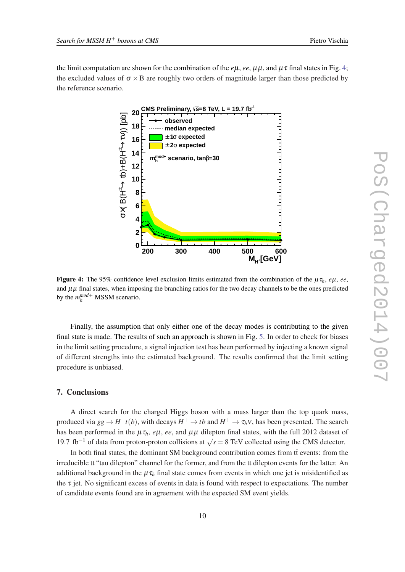the limit computation are shown for the combination of the  $e\mu$ ,  $e\epsilon$ ,  $\mu\mu$ , and  $\mu\tau$  final states in Fig. 4; the excluded values of  $\sigma \times B$  are roughly two orders of magnitude larger than those predicted by the reference scenario.



Figure 4: The 95% confidence level exclusion limits estimated from the combination of the µτ*h*, *e*µ, *ee*, and  $\mu\mu$  final states, when imposing the branching ratios for the two decay channels to be the ones predicted by the  $m_h^{mod+}$  MSSM scenario.

Finally, the assumption that only either one of the decay modes is contributing to the given final state is made. The results of such an approach is shown in Fig. [5.](#page-10-0) In order to check for biases in the limit setting procedure, a signal injection test has been performed by injecting a known signal of different strengths into the estimated background. The results confirmed that the limit setting procedure is unbiased.

# 7. Conclusions

A direct search for the charged Higgs boson with a mass larger than the top quark mass, produced via  $gg \to H^+ t(b)$ , with decays  $H^+ \to t\bar{b}$  and  $H^+ \to \tau_h \nu$ , has been presented. The search has been performed in the  $\mu \tau_h$ , *e* $\mu$ , *ee*, and  $\mu \mu$  dilepton final states, with the full 2012 dataset of 19.7 fb<sup>-1</sup> of data from proton-proton collisions at  $\sqrt{s} = 8$  TeV collected using the CMS detector.

In both final states, the dominant SM background contribution comes from tt events: from the irreducible  $t\bar{t}$  "tau dilepton" channel for the former, and from the  $t\bar{t}$  dilepton events for the latter. An additional background in the  $\mu \tau_h$  final state comes from events in which one jet is misidentified as the  $\tau$  jet. No significant excess of events in data is found with respect to expectations. The number of candidate events found are in agreement with the expected SM event yields.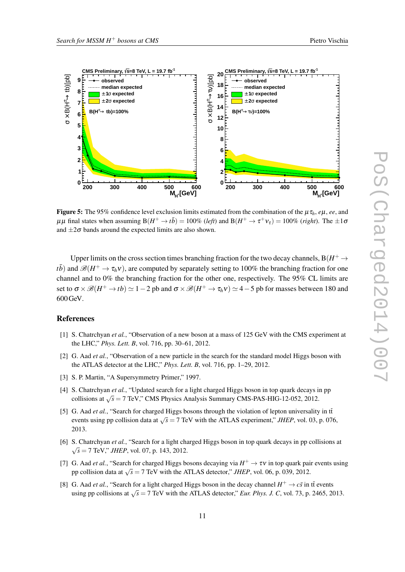<span id="page-10-0"></span>

Figure 5: The 95% confidence level exclusion limits estimated from the combination of the  $\mu \tau_h$ , *e* $\mu$ , *ee*, and  $\mu\mu$  final states when assuming  $B(H^+ \to t\bar{b}) = 100\%$  (*left*) and  $B(H^+ \to \tau^+ \nu_{\tau}) = 100\%$  (*right*). The  $\pm 1\sigma$ and  $\pm 2\sigma$  bands around the expected limits are also shown.

Upper limits on the cross section times branching fraction for the two decay channels,  $B(H^+ \to$ *t* $\bar{b}$ ) and  $\mathscr{B}(H^+ \to \tau_h \nu)$ , are computed by separately setting to 100% the branching fraction for one channel and to 0% the branching fraction for the other one, respectively. The 95% CL limits are set to  $\sigma \times \mathscr{B}(H^+ \to tb) \simeq 1-2$  pb and  $\sigma \times \mathscr{B}(H^+ \to \tau_h \nu) \simeq$  4  $-$  5 pb for masses between 180 and 600GeV.

# References

- [1] S. Chatrchyan *et al.*, "Observation of a new boson at a mass of 125 GeV with the CMS experiment at the LHC," *Phys. Lett. B*, vol. 716, pp. 30–61, 2012.
- [2] G. Aad *et al.*, "Observation of a new particle in the search for the standard model Higgs boson with the ATLAS detector at the LHC," *Phys. Lett. B*, vol. 716, pp. 1–29, 2012.
- [3] S. P. Martin, "A Supersymmetry Primer," 1997.
- [4] S. Chatrchyan *et al.*, "Updated search for a light charged Higgs boson in top quark decays in pp collisions at  $\sqrt{s}$  = 7 TeV," CMS Physics Analysis Summary CMS-PAS-HIG-12-052, 2012.
- [5] G. Aad *et al.*, "Search for charged Higgs bosons through the violation of lepton universality in tt events using pp collision data at  $\sqrt{s} = 7$  TeV with the ATLAS experiment," *JHEP*, vol. 03, p. 076, 2013.
- [6] S. Chatrchyan *et al.*, "Search for a light charged Higgs boson in top quark decays in pp collisions at  $\sqrt{s}$  = 7 TeV," *JHEP*, vol. 07, p. 143, 2012.
- [7] G. Aad *et al.*, "Search for charged Higgs bosons decaying via  $H^+ \to \tau \nu$  in top quark pair events using pp collision data at  $\sqrt{s} = 7$  TeV with the ATLAS detector," *JHEP*, vol. 06, p. 039, 2012.
- [8] G. Aad *et al.*, "Search for a light charged Higgs boson in the decay channel  $H^+ \to c\bar{s}$  in tt events using pp collisions at  $\sqrt{s} = 7$  TeV with the ATLAS detector," *Eur. Phys. J. C*, vol. 73, p. 2465, 2013.